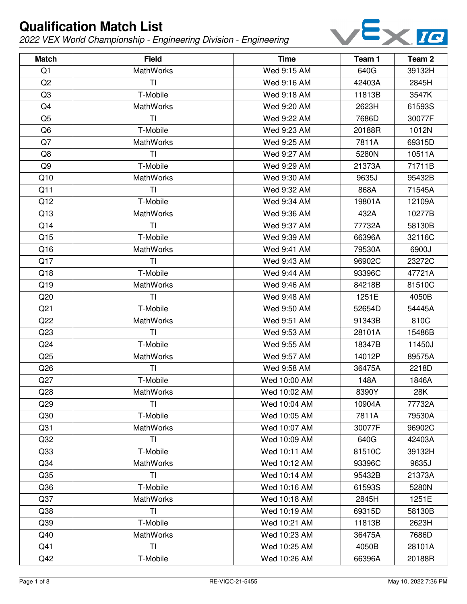

| <b>Match</b>    | <b>Field</b>   | <b>Time</b>  | Team 1 | Team <sub>2</sub> |
|-----------------|----------------|--------------|--------|-------------------|
| Q <sub>1</sub>  | MathWorks      | Wed 9:15 AM  | 640G   | 39132H            |
| Q <sub>2</sub>  | ΤI             | Wed 9:16 AM  | 42403A | 2845H             |
| Q <sub>3</sub>  | T-Mobile       | Wed 9:18 AM  | 11813B | 3547K             |
| Q4              | MathWorks      | Wed 9:20 AM  | 2623H  | 61593S            |
| Q <sub>5</sub>  | TI             | Wed 9:22 AM  | 7686D  | 30077F            |
| Q <sub>6</sub>  | T-Mobile       | Wed 9:23 AM  | 20188R | 1012N             |
| Q7              | MathWorks      | Wed 9:25 AM  | 7811A  | 69315D            |
| Q8              | TI             | Wed 9:27 AM  | 5280N  | 10511A            |
| Q9              | T-Mobile       | Wed 9:29 AM  | 21373A | 71711B            |
| Q10             | MathWorks      | Wed 9:30 AM  | 9635J  | 95432B            |
| Q11             | TI             | Wed 9:32 AM  | 868A   | 71545A            |
| Q12             | T-Mobile       | Wed 9:34 AM  | 19801A | 12109A            |
| Q13             | MathWorks      | Wed 9:36 AM  | 432A   | 10277B            |
| Q14             | T <sub>l</sub> | Wed 9:37 AM  | 77732A | 58130B            |
| Q15             | T-Mobile       | Wed 9:39 AM  | 66396A | 32116C            |
| Q16             | MathWorks      | Wed 9:41 AM  | 79530A | 6900J             |
| Q17             | TI             | Wed 9:43 AM  | 96902C | 23272C            |
| Q18             | T-Mobile       | Wed 9:44 AM  | 93396C | 47721A            |
| Q19             | MathWorks      | Wed 9:46 AM  | 84218B | 81510C            |
| Q20             | TI             | Wed 9:48 AM  | 1251E  | 4050B             |
| Q <sub>21</sub> | T-Mobile       | Wed 9:50 AM  | 52654D | 54445A            |
| Q22             | MathWorks      | Wed 9:51 AM  | 91343B | 810C              |
| Q23             | TI             | Wed 9:53 AM  | 28101A | 15486B            |
| Q <sub>24</sub> | T-Mobile       | Wed 9:55 AM  | 18347B | 11450J            |
| Q <sub>25</sub> | MathWorks      | Wed 9:57 AM  | 14012P | 89575A            |
| Q26             | TI             | Wed 9:58 AM  | 36475A | 2218D             |
| Q27             | T-Mobile       | Wed 10:00 AM | 148A   | 1846A             |
| Q28             | MathWorks      | Wed 10:02 AM | 8390Y  | 28K               |
| Q <sub>29</sub> | <b>TI</b>      | Wed 10:04 AM | 10904A | 77732A            |
| Q30             | T-Mobile       | Wed 10:05 AM | 7811A  | 79530A            |
| Q <sub>31</sub> | MathWorks      | Wed 10:07 AM | 30077F | 96902C            |
| Q <sub>32</sub> | TI             | Wed 10:09 AM | 640G   | 42403A            |
| Q <sub>33</sub> | T-Mobile       | Wed 10:11 AM | 81510C | 39132H            |
| Q <sub>34</sub> | MathWorks      | Wed 10:12 AM | 93396C | 9635J             |
| Q <sub>35</sub> | TI             | Wed 10:14 AM | 95432B | 21373A            |
| Q36             | T-Mobile       | Wed 10:16 AM | 61593S | 5280N             |
| Q <sub>37</sub> | MathWorks      | Wed 10:18 AM | 2845H  | 1251E             |
| Q <sub>38</sub> | TI             | Wed 10:19 AM | 69315D | 58130B            |
| Q <sub>39</sub> | T-Mobile       | Wed 10:21 AM | 11813B | 2623H             |
| Q40             | MathWorks      | Wed 10:23 AM | 36475A | 7686D             |
| Q41             | TI             | Wed 10:25 AM | 4050B  | 28101A            |
| Q42             | T-Mobile       | Wed 10:26 AM | 66396A | 20188R            |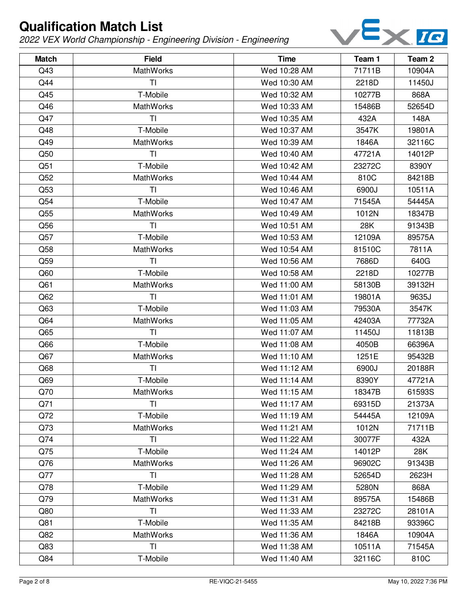

| <b>Match</b>    | <b>Field</b>     | <b>Time</b>  | Team 1 | Team <sub>2</sub> |
|-----------------|------------------|--------------|--------|-------------------|
| Q43             | <b>MathWorks</b> | Wed 10:28 AM | 71711B | 10904A            |
| Q44             | ΤI               | Wed 10:30 AM | 2218D  | 11450J            |
| Q45             | T-Mobile         | Wed 10:32 AM | 10277B | 868A              |
| Q46             | <b>MathWorks</b> | Wed 10:33 AM | 15486B | 52654D            |
| Q47             | TI               | Wed 10:35 AM | 432A   | 148A              |
| Q48             | T-Mobile         | Wed 10:37 AM | 3547K  | 19801A            |
| Q49             | <b>MathWorks</b> | Wed 10:39 AM | 1846A  | 32116C            |
| Q50             | <b>TI</b>        | Wed 10:40 AM | 47721A | 14012P            |
| Q51             | T-Mobile         | Wed 10:42 AM | 23272C | 8390Y             |
| Q52             | <b>MathWorks</b> | Wed 10:44 AM | 810C   | 84218B            |
| Q53             | <b>TI</b>        | Wed 10:46 AM | 6900J  | 10511A            |
| Q54             | T-Mobile         | Wed 10:47 AM | 71545A | 54445A            |
| Q55             | <b>MathWorks</b> | Wed 10:49 AM | 1012N  | 18347B            |
| Q56             | <b>TI</b>        | Wed 10:51 AM | 28K    | 91343B            |
| Q57             | T-Mobile         | Wed 10:53 AM | 12109A | 89575A            |
| Q58             | MathWorks        | Wed 10:54 AM | 81510C | 7811A             |
| Q59             | TI               | Wed 10:56 AM | 7686D  | 640G              |
| Q60             | T-Mobile         | Wed 10:58 AM | 2218D  | 10277B            |
| Q <sub>61</sub> | <b>MathWorks</b> | Wed 11:00 AM | 58130B | 39132H            |
| Q62             | TI               | Wed 11:01 AM | 19801A | 9635J             |
| Q63             | T-Mobile         | Wed 11:03 AM | 79530A | 3547K             |
| Q64             | <b>MathWorks</b> | Wed 11:05 AM | 42403A | 77732A            |
| Q65             | TI               | Wed 11:07 AM | 11450J | 11813B            |
| Q66             | T-Mobile         | Wed 11:08 AM | 4050B  | 66396A            |
| Q67             | MathWorks        | Wed 11:10 AM | 1251E  | 95432B            |
| Q68             | TI               | Wed 11:12 AM | 6900J  | 20188R            |
| Q69             | T-Mobile         | Wed 11:14 AM | 8390Y  | 47721A            |
| Q70             | MathWorks        | Wed 11:15 AM | 18347B | 61593S            |
| Q71             | <b>TI</b>        | Wed 11:17 AM | 69315D | 21373A            |
| Q72             | T-Mobile         | Wed 11:19 AM | 54445A | 12109A            |
| Q73             | <b>MathWorks</b> | Wed 11:21 AM | 1012N  | 71711B            |
| Q74             | TI               | Wed 11:22 AM | 30077F | 432A              |
| Q75             | T-Mobile         | Wed 11:24 AM | 14012P | 28K               |
| Q76             | <b>MathWorks</b> | Wed 11:26 AM | 96902C | 91343B            |
| Q77             | TI               | Wed 11:28 AM | 52654D | 2623H             |
| Q78             | T-Mobile         | Wed 11:29 AM | 5280N  | 868A              |
| Q79             | <b>MathWorks</b> | Wed 11:31 AM | 89575A | 15486B            |
| Q80             | TI               | Wed 11:33 AM | 23272C | 28101A            |
| Q81             | T-Mobile         | Wed 11:35 AM | 84218B | 93396C            |
| Q82             | <b>MathWorks</b> | Wed 11:36 AM | 1846A  | 10904A            |
| Q83             | TI               | Wed 11:38 AM | 10511A | 71545A            |
| Q84             | T-Mobile         | Wed 11:40 AM | 32116C | 810C              |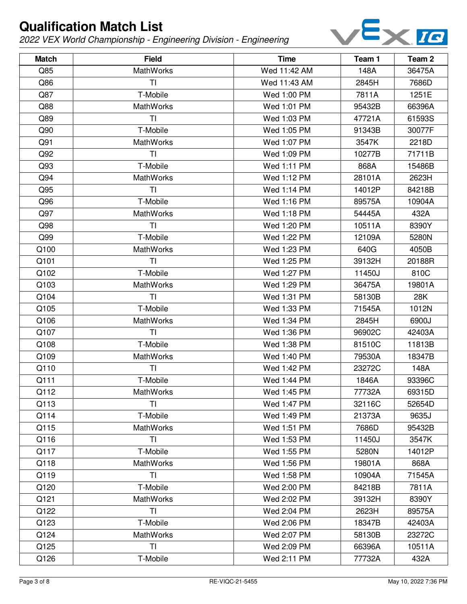

| <b>Match</b> | <b>Field</b>     | <b>Time</b>  | Team 1 | Team <sub>2</sub> |
|--------------|------------------|--------------|--------|-------------------|
| Q85          | <b>MathWorks</b> | Wed 11:42 AM | 148A   | 36475A            |
| Q86          | ΤI               | Wed 11:43 AM | 2845H  | 7686D             |
| Q87          | T-Mobile         | Wed 1:00 PM  | 7811A  | 1251E             |
| Q88          | <b>MathWorks</b> | Wed 1:01 PM  | 95432B | 66396A            |
| Q89          | TI               | Wed 1:03 PM  | 47721A | 61593S            |
| Q90          | T-Mobile         | Wed 1:05 PM  | 91343B | 30077F            |
| Q91          | MathWorks        | Wed 1:07 PM  | 3547K  | 2218D             |
| Q92          | T <sub>l</sub>   | Wed 1:09 PM  | 10277B | 71711B            |
| Q93          | T-Mobile         | Wed 1:11 PM  | 868A   | 15486B            |
| Q94          | MathWorks        | Wed 1:12 PM  | 28101A | 2623H             |
| Q95          | TI               | Wed 1:14 PM  | 14012P | 84218B            |
| Q96          | T-Mobile         | Wed 1:16 PM  | 89575A | 10904A            |
| Q97          | MathWorks        | Wed 1:18 PM  | 54445A | 432A              |
| Q98          | <b>TI</b>        | Wed 1:20 PM  | 10511A | 8390Y             |
| Q99          | T-Mobile         | Wed 1:22 PM  | 12109A | 5280N             |
| Q100         | <b>MathWorks</b> | Wed 1:23 PM  | 640G   | 4050B             |
| Q101         | <b>TI</b>        | Wed 1:25 PM  | 39132H | 20188R            |
| Q102         | T-Mobile         | Wed 1:27 PM  | 11450J | 810C              |
| Q103         | MathWorks        | Wed 1:29 PM  | 36475A | 19801A            |
| Q104         | TI               | Wed 1:31 PM  | 58130B | 28K               |
| Q105         | T-Mobile         | Wed 1:33 PM  | 71545A | 1012N             |
| Q106         | MathWorks        | Wed 1:34 PM  | 2845H  | 6900J             |
| Q107         | T <sub>l</sub>   | Wed 1:36 PM  | 96902C | 42403A            |
| Q108         | T-Mobile         | Wed 1:38 PM  | 81510C | 11813B            |
| Q109         | MathWorks        | Wed 1:40 PM  | 79530A | 18347B            |
| Q110         | TI               | Wed 1:42 PM  | 23272C | 148A              |
| Q111         | T-Mobile         | Wed 1:44 PM  | 1846A  | 93396C            |
| Q112         | MathWorks        | Wed 1:45 PM  | 77732A | 69315D            |
| Q113         | T <sub>l</sub>   | Wed 1:47 PM  | 32116C | 52654D            |
| Q114         | T-Mobile         | Wed 1:49 PM  | 21373A | 9635J             |
| Q115         | <b>MathWorks</b> | Wed 1:51 PM  | 7686D  | 95432B            |
| Q116         | TI               | Wed 1:53 PM  | 11450J | 3547K             |
| Q117         | T-Mobile         | Wed 1:55 PM  | 5280N  | 14012P            |
| Q118         | MathWorks        | Wed 1:56 PM  | 19801A | 868A              |
| Q119         | TI               | Wed 1:58 PM  | 10904A | 71545A            |
| Q120         | T-Mobile         | Wed 2:00 PM  | 84218B | 7811A             |
| Q121         | <b>MathWorks</b> | Wed 2:02 PM  | 39132H | 8390Y             |
| Q122         | <b>TI</b>        | Wed 2:04 PM  | 2623H  | 89575A            |
| Q123         | T-Mobile         | Wed 2:06 PM  | 18347B | 42403A            |
| Q124         | MathWorks        | Wed 2:07 PM  | 58130B | 23272C            |
| Q125         | TI               | Wed 2:09 PM  | 66396A | 10511A            |
| Q126         | T-Mobile         | Wed 2:11 PM  | 77732A | 432A              |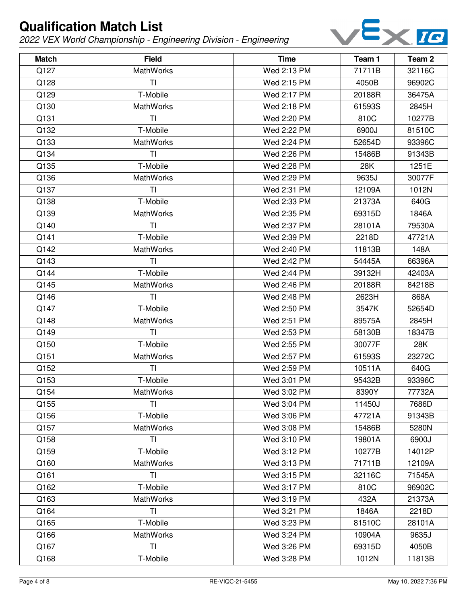

| <b>Match</b> | <b>Field</b>     | <b>Time</b> | Team 1 | Team 2 |
|--------------|------------------|-------------|--------|--------|
| Q127         | <b>MathWorks</b> | Wed 2:13 PM | 71711B | 32116C |
| Q128         | <b>TI</b>        | Wed 2:15 PM | 4050B  | 96902C |
| Q129         | T-Mobile         | Wed 2:17 PM | 20188R | 36475A |
| Q130         | <b>MathWorks</b> | Wed 2:18 PM | 61593S | 2845H  |
| Q131         | TI               | Wed 2:20 PM | 810C   | 10277B |
| Q132         | T-Mobile         | Wed 2:22 PM | 6900J  | 81510C |
| Q133         | <b>MathWorks</b> | Wed 2:24 PM | 52654D | 93396C |
| Q134         | TI               | Wed 2:26 PM | 15486B | 91343B |
| Q135         | T-Mobile         | Wed 2:28 PM | 28K    | 1251E  |
| Q136         | MathWorks        | Wed 2:29 PM | 9635J  | 30077F |
| Q137         | T <sub>l</sub>   | Wed 2:31 PM | 12109A | 1012N  |
| Q138         | T-Mobile         | Wed 2:33 PM | 21373A | 640G   |
| Q139         | MathWorks        | Wed 2:35 PM | 69315D | 1846A  |
| Q140         | <b>TI</b>        | Wed 2:37 PM | 28101A | 79530A |
| Q141         | T-Mobile         | Wed 2:39 PM | 2218D  | 47721A |
| Q142         | MathWorks        | Wed 2:40 PM | 11813B | 148A   |
| Q143         | <b>TI</b>        | Wed 2:42 PM | 54445A | 66396A |
| Q144         | T-Mobile         | Wed 2:44 PM | 39132H | 42403A |
| Q145         | MathWorks        | Wed 2:46 PM | 20188R | 84218B |
| Q146         | TI               | Wed 2:48 PM | 2623H  | 868A   |
| Q147         | T-Mobile         | Wed 2:50 PM | 3547K  | 52654D |
| Q148         | <b>MathWorks</b> | Wed 2:51 PM | 89575A | 2845H  |
| Q149         | TI               | Wed 2:53 PM | 58130B | 18347B |
| Q150         | T-Mobile         | Wed 2:55 PM | 30077F | 28K    |
| Q151         | <b>MathWorks</b> | Wed 2:57 PM | 61593S | 23272C |
| Q152         | TI               | Wed 2:59 PM | 10511A | 640G   |
| Q153         | T-Mobile         | Wed 3:01 PM | 95432B | 93396C |
| Q154         | MathWorks        | Wed 3:02 PM | 8390Y  | 77732A |
| Q155         | <b>TI</b>        | Wed 3:04 PM | 11450J | 7686D  |
| Q156         | T-Mobile         | Wed 3:06 PM | 47721A | 91343B |
| Q157         | <b>MathWorks</b> | Wed 3:08 PM | 15486B | 5280N  |
| Q158         | <b>TI</b>        | Wed 3:10 PM | 19801A | 6900J  |
| Q159         | T-Mobile         | Wed 3:12 PM | 10277B | 14012P |
| Q160         | <b>MathWorks</b> | Wed 3:13 PM | 71711B | 12109A |
| Q161         | TI               | Wed 3:15 PM | 32116C | 71545A |
| Q162         | T-Mobile         | Wed 3:17 PM | 810C   | 96902C |
| Q163         | <b>MathWorks</b> | Wed 3:19 PM | 432A   | 21373A |
| Q164         | <b>TI</b>        | Wed 3:21 PM | 1846A  | 2218D  |
| Q165         | T-Mobile         | Wed 3:23 PM | 81510C | 28101A |
| Q166         | <b>MathWorks</b> | Wed 3:24 PM | 10904A | 9635J  |
| Q167         | TI               | Wed 3:26 PM | 69315D | 4050B  |
| Q168         | T-Mobile         | Wed 3:28 PM | 1012N  | 11813B |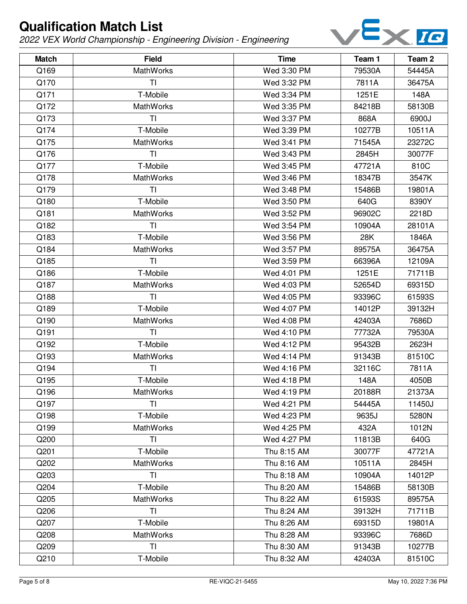

| <b>Match</b> | <b>Field</b>     | <b>Time</b> | Team 1 | Team <sub>2</sub> |
|--------------|------------------|-------------|--------|-------------------|
| Q169         | <b>MathWorks</b> | Wed 3:30 PM | 79530A | 54445A            |
| Q170         | ΤI               | Wed 3:32 PM | 7811A  | 36475A            |
| Q171         | T-Mobile         | Wed 3:34 PM | 1251E  | 148A              |
| Q172         | <b>MathWorks</b> | Wed 3:35 PM | 84218B | 58130B            |
| Q173         | TI               | Wed 3:37 PM | 868A   | 6900J             |
| Q174         | T-Mobile         | Wed 3:39 PM | 10277B | 10511A            |
| Q175         | MathWorks        | Wed 3:41 PM | 71545A | 23272C            |
| Q176         | TI               | Wed 3:43 PM | 2845H  | 30077F            |
| Q177         | T-Mobile         | Wed 3:45 PM | 47721A | 810C              |
| Q178         | MathWorks        | Wed 3:46 PM | 18347B | 3547K             |
| Q179         | TI               | Wed 3:48 PM | 15486B | 19801A            |
| Q180         | T-Mobile         | Wed 3:50 PM | 640G   | 8390Y             |
| Q181         | MathWorks        | Wed 3:52 PM | 96902C | 2218D             |
| Q182         | <b>TI</b>        | Wed 3:54 PM | 10904A | 28101A            |
| Q183         | T-Mobile         | Wed 3:56 PM | 28K    | 1846A             |
| Q184         | MathWorks        | Wed 3:57 PM | 89575A | 36475A            |
| Q185         | TI               | Wed 3:59 PM | 66396A | 12109A            |
| Q186         | T-Mobile         | Wed 4:01 PM | 1251E  | 71711B            |
| Q187         | MathWorks        | Wed 4:03 PM | 52654D | 69315D            |
| Q188         | TI               | Wed 4:05 PM | 93396C | 61593S            |
| Q189         | T-Mobile         | Wed 4:07 PM | 14012P | 39132H            |
| Q190         | MathWorks        | Wed 4:08 PM | 42403A | 7686D             |
| Q191         | TI               | Wed 4:10 PM | 77732A | 79530A            |
| Q192         | T-Mobile         | Wed 4:12 PM | 95432B | 2623H             |
| Q193         | MathWorks        | Wed 4:14 PM | 91343B | 81510C            |
| Q194         | TI               | Wed 4:16 PM | 32116C | 7811A             |
| Q195         | T-Mobile         | Wed 4:18 PM | 148A   | 4050B             |
| Q196         | MathWorks        | Wed 4:19 PM | 20188R | 21373A            |
| Q197         | <b>TI</b>        | Wed 4:21 PM | 54445A | 11450J            |
| Q198         | T-Mobile         | Wed 4:23 PM | 9635J  | 5280N             |
| Q199         | <b>MathWorks</b> | Wed 4:25 PM | 432A   | 1012N             |
| Q200         | TI               | Wed 4:27 PM | 11813B | 640G              |
| Q201         | T-Mobile         | Thu 8:15 AM | 30077F | 47721A            |
| Q202         | <b>MathWorks</b> | Thu 8:16 AM | 10511A | 2845H             |
| Q203         | TI               | Thu 8:18 AM | 10904A | 14012P            |
| Q204         | T-Mobile         | Thu 8:20 AM | 15486B | 58130B            |
| Q205         | <b>MathWorks</b> | Thu 8:22 AM | 61593S | 89575A            |
| Q206         | TI               | Thu 8:24 AM | 39132H | 71711B            |
| Q207         | T-Mobile         | Thu 8:26 AM | 69315D | 19801A            |
| Q208         | MathWorks        | Thu 8:28 AM | 93396C | 7686D             |
| Q209         | TI               | Thu 8:30 AM | 91343B | 10277B            |
| Q210         | T-Mobile         | Thu 8:32 AM | 42403A | 81510C            |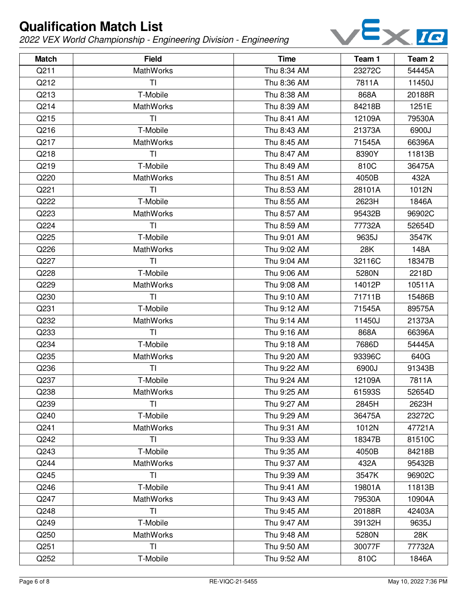

| <b>Match</b> | <b>Field</b>     | <b>Time</b> | Team 1 | Team <sub>2</sub> |
|--------------|------------------|-------------|--------|-------------------|
| Q211         | <b>MathWorks</b> | Thu 8:34 AM | 23272C | 54445A            |
| Q212         | <b>TI</b>        | Thu 8:36 AM | 7811A  | 11450J            |
| Q213         | T-Mobile         | Thu 8:38 AM | 868A   | 20188R            |
| Q214         | <b>MathWorks</b> | Thu 8:39 AM | 84218B | 1251E             |
| Q215         | TI               | Thu 8:41 AM | 12109A | 79530A            |
| Q216         | T-Mobile         | Thu 8:43 AM | 21373A | 6900J             |
| Q217         | <b>MathWorks</b> | Thu 8:45 AM | 71545A | 66396A            |
| Q218         | TI               | Thu 8:47 AM | 8390Y  | 11813B            |
| Q219         | T-Mobile         | Thu 8:49 AM | 810C   | 36475A            |
| Q220         | MathWorks        | Thu 8:51 AM | 4050B  | 432A              |
| Q221         | TI               | Thu 8:53 AM | 28101A | 1012N             |
| Q222         | T-Mobile         | Thu 8:55 AM | 2623H  | 1846A             |
| Q223         | MathWorks        | Thu 8:57 AM | 95432B | 96902C            |
| Q224         | TI               | Thu 8:59 AM | 77732A | 52654D            |
| Q225         | T-Mobile         | Thu 9:01 AM | 9635J  | 3547K             |
| Q226         | MathWorks        | Thu 9:02 AM | 28K    | 148A              |
| Q227         | TI               | Thu 9:04 AM | 32116C | 18347B            |
| Q228         | T-Mobile         | Thu 9:06 AM | 5280N  | 2218D             |
| Q229         | MathWorks        | Thu 9:08 AM | 14012P | 10511A            |
| Q230         | TI               | Thu 9:10 AM | 71711B | 15486B            |
| Q231         | T-Mobile         | Thu 9:12 AM | 71545A | 89575A            |
| Q232         | MathWorks        | Thu 9:14 AM | 11450J | 21373A            |
| Q233         | TI               | Thu 9:16 AM | 868A   | 66396A            |
| Q234         | T-Mobile         | Thu 9:18 AM | 7686D  | 54445A            |
| Q235         | MathWorks        | Thu 9:20 AM | 93396C | 640G              |
| Q236         | TI               | Thu 9:22 AM | 6900J  | 91343B            |
| Q237         | T-Mobile         | Thu 9:24 AM | 12109A | 7811A             |
| Q238         | MathWorks        | Thu 9:25 AM | 61593S | 52654D            |
| Q239         | <b>TI</b>        | Thu 9:27 AM | 2845H  | 2623H             |
| Q240         | T-Mobile         | Thu 9:29 AM | 36475A | 23272C            |
| Q241         | <b>MathWorks</b> | Thu 9:31 AM | 1012N  | 47721A            |
| Q242         | TI               | Thu 9:33 AM | 18347B | 81510C            |
| Q243         | T-Mobile         | Thu 9:35 AM | 4050B  | 84218B            |
| Q244         | MathWorks        | Thu 9:37 AM | 432A   | 95432B            |
| Q245         | TI               | Thu 9:39 AM | 3547K  | 96902C            |
| Q246         | T-Mobile         | Thu 9:41 AM | 19801A | 11813B            |
| Q247         | <b>MathWorks</b> | Thu 9:43 AM | 79530A | 10904A            |
| Q248         | TI               | Thu 9:45 AM | 20188R | 42403A            |
| Q249         | T-Mobile         | Thu 9:47 AM | 39132H | 9635J             |
| Q250         | MathWorks        | Thu 9:48 AM | 5280N  | 28K               |
| Q251         | TI               | Thu 9:50 AM | 30077F | 77732A            |
| Q252         | T-Mobile         | Thu 9:52 AM | 810C   | 1846A             |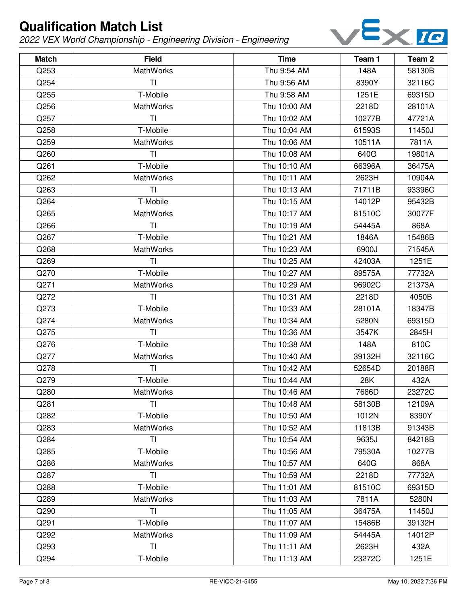

| <b>Match</b> | <b>Field</b>     | <b>Time</b>  | Team 1 | Team <sub>2</sub> |
|--------------|------------------|--------------|--------|-------------------|
| Q253         | <b>MathWorks</b> | Thu 9:54 AM  | 148A   | 58130B            |
| Q254         | <b>TI</b>        | Thu 9:56 AM  | 8390Y  | 32116C            |
| Q255         | T-Mobile         | Thu 9:58 AM  | 1251E  | 69315D            |
| Q256         | <b>MathWorks</b> | Thu 10:00 AM | 2218D  | 28101A            |
| Q257         | ΤI               | Thu 10:02 AM | 10277B | 47721A            |
| Q258         | T-Mobile         | Thu 10:04 AM | 61593S | 11450J            |
| Q259         | <b>MathWorks</b> | Thu 10:06 AM | 10511A | 7811A             |
| Q260         | <b>TI</b>        | Thu 10:08 AM | 640G   | 19801A            |
| Q261         | T-Mobile         | Thu 10:10 AM | 66396A | 36475A            |
| Q262         | MathWorks        | Thu 10:11 AM | 2623H  | 10904A            |
| Q263         | T <sub>l</sub>   | Thu 10:13 AM | 71711B | 93396C            |
| Q264         | T-Mobile         | Thu 10:15 AM | 14012P | 95432B            |
| Q265         | MathWorks        | Thu 10:17 AM | 81510C | 30077F            |
| Q266         | <b>TI</b>        | Thu 10:19 AM | 54445A | 868A              |
| Q267         | T-Mobile         | Thu 10:21 AM | 1846A  | 15486B            |
| Q268         | MathWorks        | Thu 10:23 AM | 6900J  | 71545A            |
| Q269         | <b>TI</b>        | Thu 10:25 AM | 42403A | 1251E             |
| Q270         | T-Mobile         | Thu 10:27 AM | 89575A | 77732A            |
| Q271         | MathWorks        | Thu 10:29 AM | 96902C | 21373A            |
| Q272         | TI               | Thu 10:31 AM | 2218D  | 4050B             |
| Q273         | T-Mobile         | Thu 10:33 AM | 28101A | 18347B            |
| Q274         | MathWorks        | Thu 10:34 AM | 5280N  | 69315D            |
| Q275         | <b>TI</b>        | Thu 10:36 AM | 3547K  | 2845H             |
| Q276         | T-Mobile         | Thu 10:38 AM | 148A   | 810C              |
| Q277         | MathWorks        | Thu 10:40 AM | 39132H | 32116C            |
| Q278         | TI               | Thu 10:42 AM | 52654D | 20188R            |
| Q279         | T-Mobile         | Thu 10:44 AM | 28K    | 432A              |
| Q280         | MathWorks        | Thu 10:46 AM | 7686D  | 23272C            |
| Q281         | <b>TI</b>        | Thu 10:48 AM | 58130B | 12109A            |
| Q282         | T-Mobile         | Thu 10:50 AM | 1012N  | 8390Y             |
| Q283         | <b>MathWorks</b> | Thu 10:52 AM | 11813B | 91343B            |
| Q284         | <b>TI</b>        | Thu 10:54 AM | 9635J  | 84218B            |
| Q285         | T-Mobile         | Thu 10:56 AM | 79530A | 10277B            |
| Q286         | <b>MathWorks</b> | Thu 10:57 AM | 640G   | 868A              |
| Q287         | TI               | Thu 10:59 AM | 2218D  | 77732A            |
| Q288         | T-Mobile         | Thu 11:01 AM | 81510C | 69315D            |
| Q289         | <b>MathWorks</b> | Thu 11:03 AM | 7811A  | 5280N             |
| Q290         | <b>TI</b>        | Thu 11:05 AM | 36475A | 11450J            |
| Q291         | T-Mobile         | Thu 11:07 AM | 15486B | 39132H            |
| Q292         | <b>MathWorks</b> | Thu 11:09 AM | 54445A | 14012P            |
| Q293         | TI               | Thu 11:11 AM | 2623H  | 432A              |
| Q294         | T-Mobile         | Thu 11:13 AM | 23272C | 1251E             |